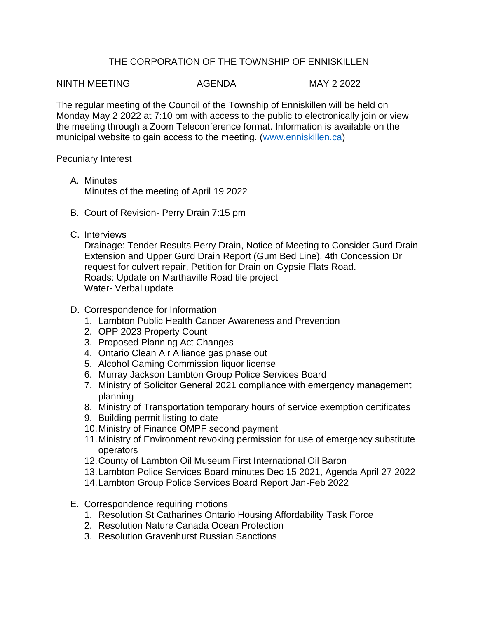## THE CORPORATION OF THE TOWNSHIP OF ENNISKILLEN

NINTH MEETING AGENDA MAY 2 2022

The regular meeting of the Council of the Township of Enniskillen will be held on Monday May 2 2022 at 7:10 pm with access to the public to electronically join or view the meeting through a Zoom Teleconference format. Information is available on the municipal website to gain access to the meeting. [\(www.enniskillen.ca\)](http://www.enniskillen.ca/)

Pecuniary Interest

- A. Minutes Minutes of the meeting of April 19 2022
- B. Court of Revision- Perry Drain 7:15 pm
- C. Interviews

Drainage: Tender Results Perry Drain, Notice of Meeting to Consider Gurd Drain Extension and Upper Gurd Drain Report (Gum Bed Line), 4th Concession Dr request for culvert repair, Petition for Drain on Gypsie Flats Road. Roads: Update on Marthaville Road tile project Water- Verbal update

- D. Correspondence for Information
	- 1. Lambton Public Health Cancer Awareness and Prevention
	- 2. OPP 2023 Property Count
	- 3. Proposed Planning Act Changes
	- 4. Ontario Clean Air Alliance gas phase out
	- 5. Alcohol Gaming Commission liquor license
	- 6. Murray Jackson Lambton Group Police Services Board
	- 7. Ministry of Solicitor General 2021 compliance with emergency management planning
	- 8. Ministry of Transportation temporary hours of service exemption certificates
	- 9. Building permit listing to date
	- 10.Ministry of Finance OMPF second payment
	- 11.Ministry of Environment revoking permission for use of emergency substitute operators
	- 12.County of Lambton Oil Museum First International Oil Baron
	- 13.Lambton Police Services Board minutes Dec 15 2021, Agenda April 27 2022
	- 14.Lambton Group Police Services Board Report Jan-Feb 2022
- E. Correspondence requiring motions
	- 1. Resolution St Catharines Ontario Housing Affordability Task Force
	- 2. Resolution Nature Canada Ocean Protection
	- 3. Resolution Gravenhurst Russian Sanctions